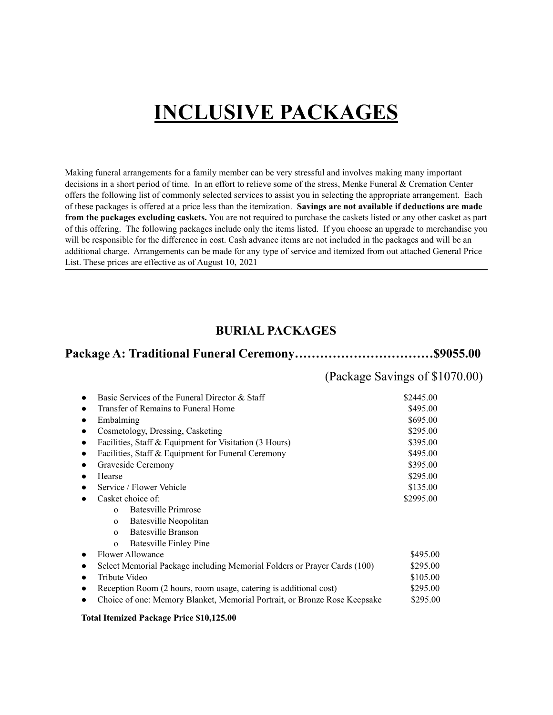# **INCLUSIVE PACKAGES**

Making funeral arrangements for a family member can be very stressful and involves making many important decisions in a short period of time. In an effort to relieve some of the stress, Menke Funeral & Cremation Center offers the following list of commonly selected services to assist you in selecting the appropriate arrangement. Each of these packages is offered at a price less than the itemization. **Savings are not available if deductions are made from the packages excluding caskets.** You are not required to purchase the caskets listed or any other casket as part of this offering. The following packages include only the items listed. If you choose an upgrade to merchandise you will be responsible for the difference in cost. Cash advance items are not included in the packages and will be an additional charge. Arrangements can be made for any type of service and itemized from out attached General Price List. These prices are effective as of August 10, 2021

#### **BURIAL PACKAGES**

#### **Package A: Traditional Funeral Ceremony……………………………\$9055.00**

(Package Savings of \$1070.00)

| Transfer of Remains to Funeral Home<br>Embalming<br>Cosmetology, Dressing, Casketing<br>Facilities, Staff & Equipment for Visitation (3 Hours)<br>Facilities, Staff & Equipment for Funeral Ceremony<br>Graveside Ceremony | \$2445.00 |
|----------------------------------------------------------------------------------------------------------------------------------------------------------------------------------------------------------------------------|-----------|
|                                                                                                                                                                                                                            | \$495.00  |
|                                                                                                                                                                                                                            | \$695.00  |
|                                                                                                                                                                                                                            | \$295.00  |
|                                                                                                                                                                                                                            | \$395.00  |
|                                                                                                                                                                                                                            | \$495.00  |
|                                                                                                                                                                                                                            | \$395.00  |
| Hearse                                                                                                                                                                                                                     | \$295.00  |
| Service / Flower Vehicle                                                                                                                                                                                                   | \$135.00  |
| Casket choice of:                                                                                                                                                                                                          | \$2995.00 |
| <b>Batesville Primrose</b><br>$\Omega$                                                                                                                                                                                     |           |
| Batesville Neopolitan<br>$\mathbf{O}$                                                                                                                                                                                      |           |
| <b>Batesville Branson</b><br>$\Omega$                                                                                                                                                                                      |           |
| <b>Batesville Finley Pine</b><br>$\Omega$                                                                                                                                                                                  |           |
| Flower Allowance                                                                                                                                                                                                           | \$495.00  |
| Select Memorial Package including Memorial Folders or Prayer Cards (100)                                                                                                                                                   | \$295.00  |
| Tribute Video                                                                                                                                                                                                              | \$105.00  |
| Reception Room (2 hours, room usage, catering is additional cost)                                                                                                                                                          | \$295.00  |
| Choice of one: Memory Blanket, Memorial Portrait, or Bronze Rose Keepsake                                                                                                                                                  | \$295.00  |

#### **Total Itemized Package Price \$10,125.00**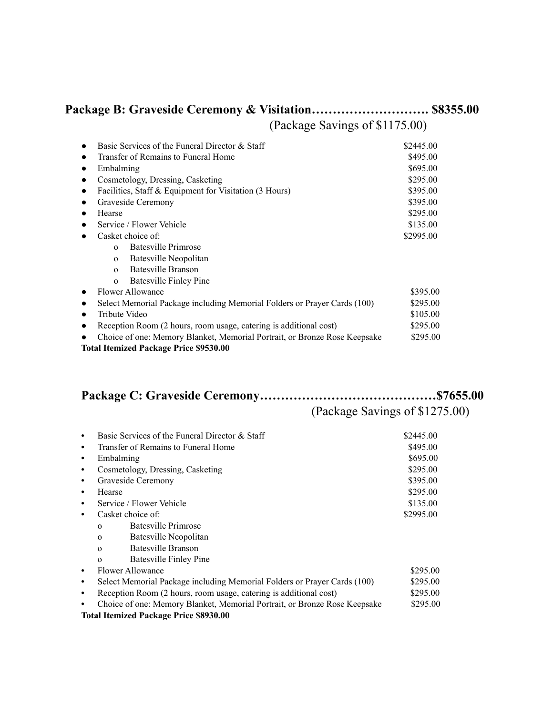#### **Package B: Graveside Ceremony & Visitation………………………. \$8355.00** (Package Savings of \$1175.00)

|           | Basic Services of the Funeral Director & Staff                            | \$2445.00 |
|-----------|---------------------------------------------------------------------------|-----------|
| $\bullet$ | Transfer of Remains to Funeral Home                                       | \$495.00  |
| $\bullet$ | Embalming                                                                 | \$695.00  |
| $\bullet$ | Cosmetology, Dressing, Casketing                                          | \$295.00  |
| $\bullet$ | Facilities, Staff & Equipment for Visitation (3 Hours)                    | \$395.00  |
| $\bullet$ | Graveside Ceremony                                                        | \$395.00  |
| $\bullet$ | Hearse                                                                    | \$295.00  |
| $\bullet$ | Service / Flower Vehicle                                                  | \$135.00  |
|           | Casket choice of:                                                         | \$2995.00 |
|           | Batesville Primrose<br>$\Omega$                                           |           |
|           | Batesville Neopolitan<br>$\Omega$                                         |           |
|           | Batesville Branson<br>$\Omega$                                            |           |
|           | <b>Batesville Finley Pine</b><br>$\Omega$                                 |           |
|           | Flower Allowance                                                          | \$395.00  |
| $\bullet$ | Select Memorial Package including Memorial Folders or Prayer Cards (100)  | \$295.00  |
| $\bullet$ | Tribute Video                                                             | \$105.00  |
| ٠         | Reception Room (2 hours, room usage, catering is additional cost)         | \$295.00  |
| $\bullet$ | Choice of one: Memory Blanket, Memorial Portrait, or Bronze Rose Keepsake | \$295.00  |
|           | <b>Total Itemized Package Price \$9530.00</b>                             |           |

### **Package C: Graveside Ceremony……………………………………\$7655.00**

#### (Package Savings of \$1275.00)

| $\bullet$ | Basic Services of the Funeral Director & Staff                            | \$2445.00 |
|-----------|---------------------------------------------------------------------------|-----------|
| $\bullet$ | Transfer of Remains to Funeral Home                                       | \$495.00  |
| $\bullet$ | Embalming                                                                 | \$695.00  |
| $\bullet$ | Cosmetology, Dressing, Casketing                                          | \$295.00  |
| $\bullet$ | Graveside Ceremony                                                        | \$395.00  |
| $\bullet$ | Hearse                                                                    | \$295.00  |
| $\bullet$ | Service / Flower Vehicle                                                  | \$135.00  |
| $\bullet$ | Casket choice of:                                                         | \$2995.00 |
|           | Batesville Primrose<br>$\Omega$                                           |           |
|           | Batesville Neopolitan<br>$\Omega$                                         |           |
|           | Batesville Branson<br>$\Omega$                                            |           |
|           | Batesville Finley Pine<br>$\Omega$                                        |           |
| $\bullet$ | Flower Allowance                                                          | \$295.00  |
| $\bullet$ | Select Memorial Package including Memorial Folders or Prayer Cards (100)  | \$295.00  |
| $\bullet$ | Reception Room (2 hours, room usage, catering is additional cost)         | \$295.00  |
| $\bullet$ | Choice of one: Memory Blanket, Memorial Portrait, or Bronze Rose Keepsake | \$295.00  |
|           | <b>Total Itemized Package Price \$8930.00</b>                             |           |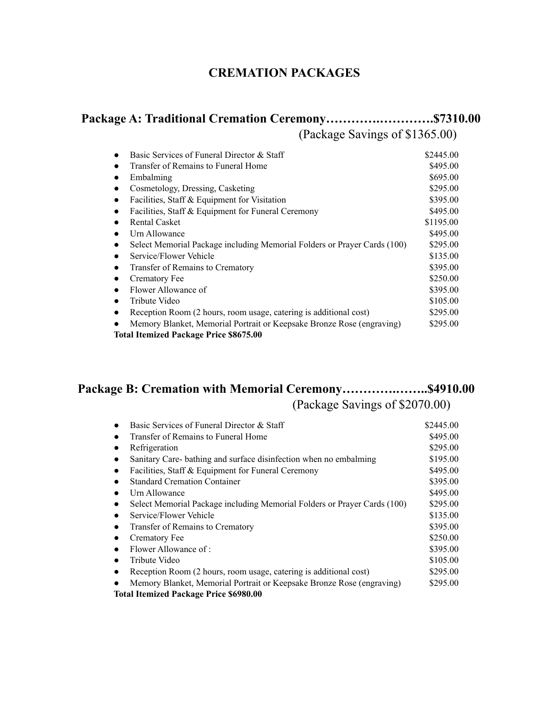#### **CREMATION PACKAGES**

#### **Package A: Traditional Cremation Ceremony………….………….\$7310.00**

(Package Savings of \$1365.00)

| Basic Services of Funeral Director & Staff                                            | \$2445.00 |
|---------------------------------------------------------------------------------------|-----------|
| Transfer of Remains to Funeral Home                                                   | \$495.00  |
| Embalming                                                                             | \$695.00  |
| Cosmetology, Dressing, Casketing<br>$\bullet$                                         | \$295.00  |
| Facilities, Staff & Equipment for Visitation<br>$\bullet$                             | \$395.00  |
| Facilities, Staff & Equipment for Funeral Ceremony<br>$\bullet$                       | \$495.00  |
| <b>Rental Casket</b>                                                                  | \$1195.00 |
| Urn Allowance<br>$\bullet$                                                            | \$495.00  |
| Select Memorial Package including Memorial Folders or Prayer Cards (100)<br>$\bullet$ | \$295.00  |
| Service/Flower Vehicle<br>$\bullet$                                                   | \$135.00  |
| Transfer of Remains to Crematory<br>$\bullet$                                         | \$395.00  |
| Crematory Fee                                                                         | \$250.00  |
| Flower Allowance of                                                                   | \$395.00  |
| Tribute Video<br>$\bullet$                                                            | \$105.00  |
| Reception Room (2 hours, room usage, catering is additional cost)<br>$\bullet$        | \$295.00  |
| Memory Blanket, Memorial Portrait or Keepsake Bronze Rose (engraving)                 | \$295.00  |
| <b>Total Itemized Package Price \$8675.00</b>                                         |           |

#### **Package B: Cremation with Memorial Ceremony………….……..\$4910.00** (Package Savings of \$2070.00)

|           | Basic Services of Funeral Director & Staff                               | \$2445.00 |
|-----------|--------------------------------------------------------------------------|-----------|
| $\bullet$ | Transfer of Remains to Funeral Home                                      | \$495.00  |
| $\bullet$ | Refrigeration                                                            | \$295.00  |
|           | Sanitary Care-bathing and surface disinfection when no embalming         | \$195.00  |
| $\bullet$ | Facilities, Staff & Equipment for Funeral Ceremony                       | \$495.00  |
| $\bullet$ | <b>Standard Cremation Container</b>                                      | \$395.00  |
|           | Urn Allowance                                                            | \$495.00  |
| $\bullet$ | Select Memorial Package including Memorial Folders or Prayer Cards (100) | \$295.00  |
| $\bullet$ | Service/Flower Vehicle                                                   | \$135.00  |
| $\bullet$ | Transfer of Remains to Crematory                                         | \$395.00  |
| $\bullet$ | Crematory Fee                                                            | \$250.00  |
| $\bullet$ | Flower Allowance of :                                                    | \$395.00  |
|           | Tribute Video                                                            | \$105.00  |
|           | Reception Room (2 hours, room usage, catering is additional cost)        | \$295.00  |
|           | Memory Blanket, Memorial Portrait or Keepsake Bronze Rose (engraving)    | \$295.00  |
|           | <b>Total Itemized Package Price \$6980.00</b>                            |           |